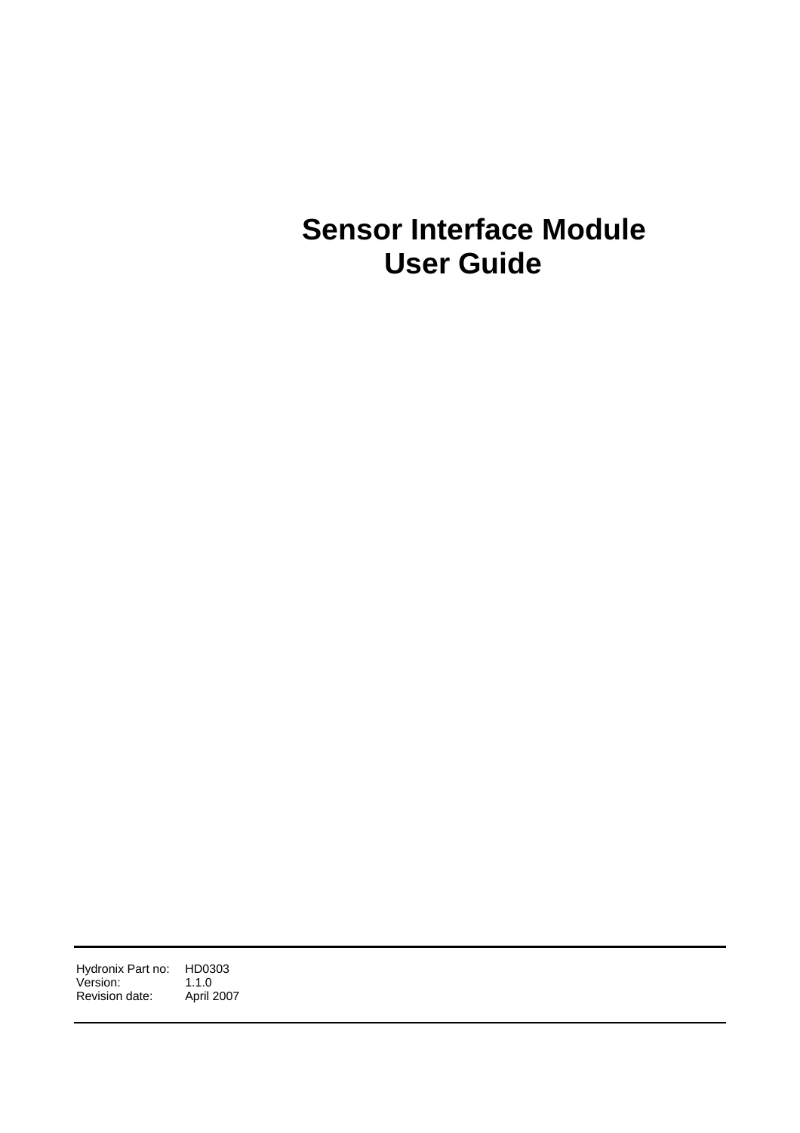# **Sensor Interface Module User Guide**

Hydronix Part no: HD0303<br>Version: 1.1.0 Version: 1.1.0<br>Revision date: April 2007 Revision date: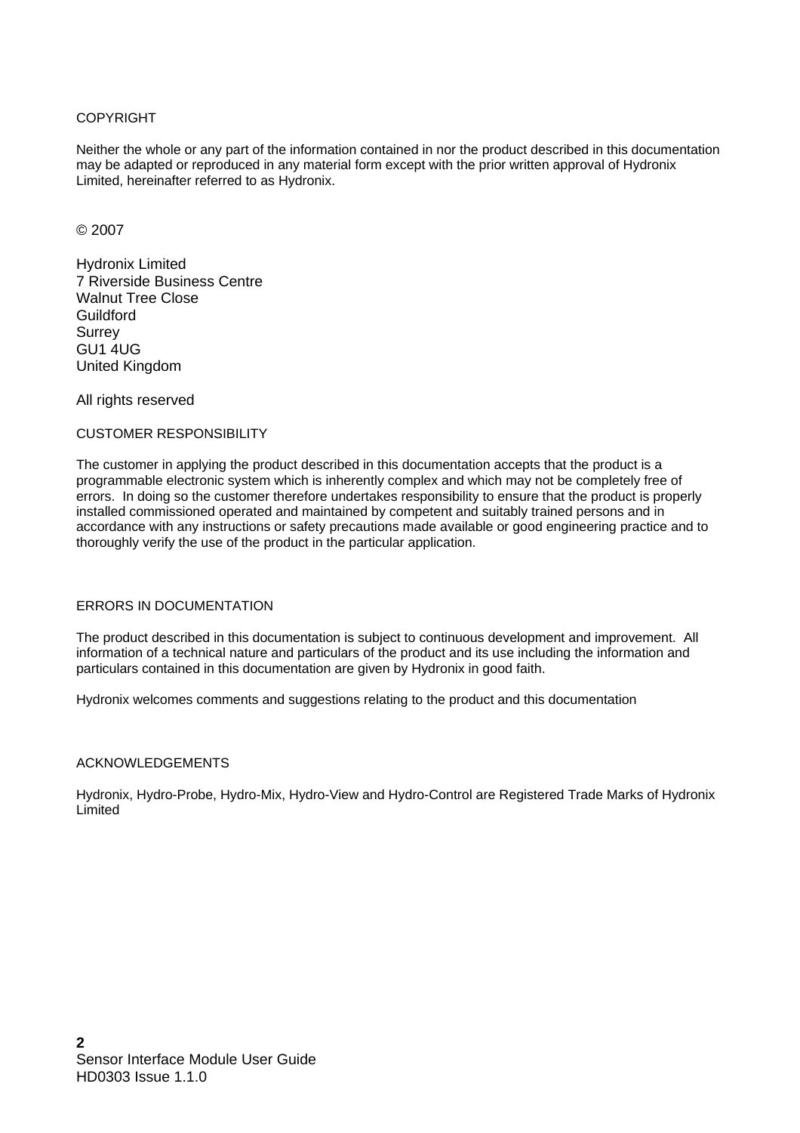#### COPYRIGHT

Neither the whole or any part of the information contained in nor the product described in this documentation may be adapted or reproduced in any material form except with the prior written approval of Hydronix Limited, hereinafter referred to as Hydronix.

#### © 2007

Hydronix Limited 7 Riverside Business Centre Walnut Tree Close Guildford **Surrey** GU1 4UG United Kingdom

All rights reserved

### CUSTOMER RESPONSIBILITY

The customer in applying the product described in this documentation accepts that the product is a programmable electronic system which is inherently complex and which may not be completely free of errors. In doing so the customer therefore undertakes responsibility to ensure that the product is properly installed commissioned operated and maintained by competent and suitably trained persons and in accordance with any instructions or safety precautions made available or good engineering practice and to thoroughly verify the use of the product in the particular application.

### ERRORS IN DOCUMENTATION

The product described in this documentation is subject to continuous development and improvement. All information of a technical nature and particulars of the product and its use including the information and particulars contained in this documentation are given by Hydronix in good faith.

Hydronix welcomes comments and suggestions relating to the product and this documentation

### ACKNOWLEDGEMENTS

Hydronix, Hydro-Probe, Hydro-Mix, Hydro-View and Hydro-Control are Registered Trade Marks of Hydronix Limited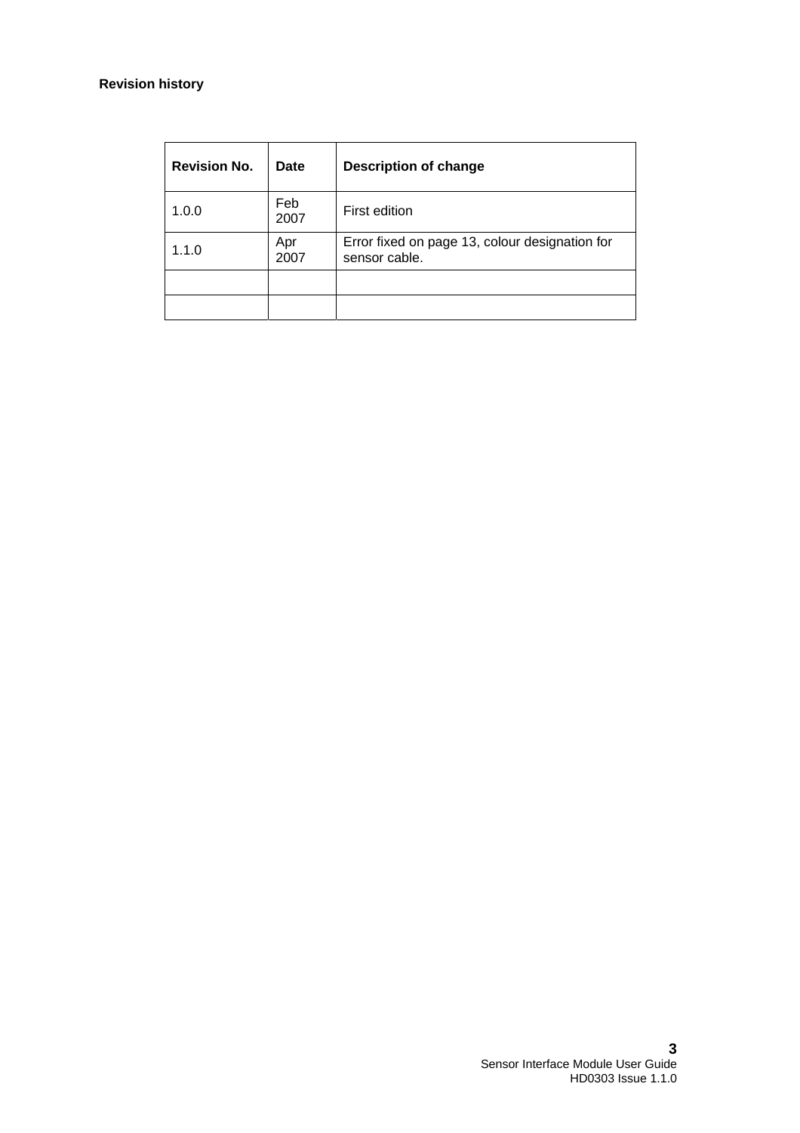### **Revision history**

| <b>Revision No.</b> | <b>Date</b> | <b>Description of change</b>                                    |
|---------------------|-------------|-----------------------------------------------------------------|
| 1.0.0               | Feb<br>2007 | First edition                                                   |
| 1.1.0               | Apr<br>2007 | Error fixed on page 13, colour designation for<br>sensor cable. |
|                     |             |                                                                 |
|                     |             |                                                                 |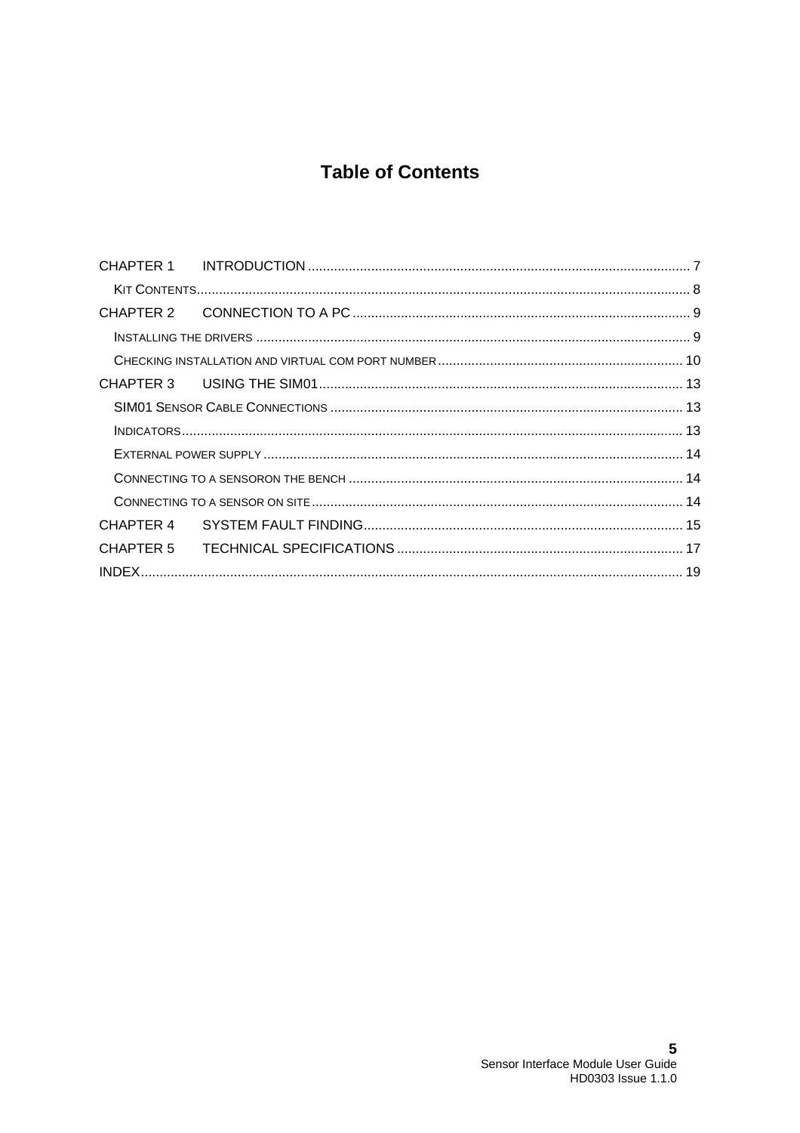## **Table of Contents**

| CHAPTER 4 |  |
|-----------|--|
|           |  |
|           |  |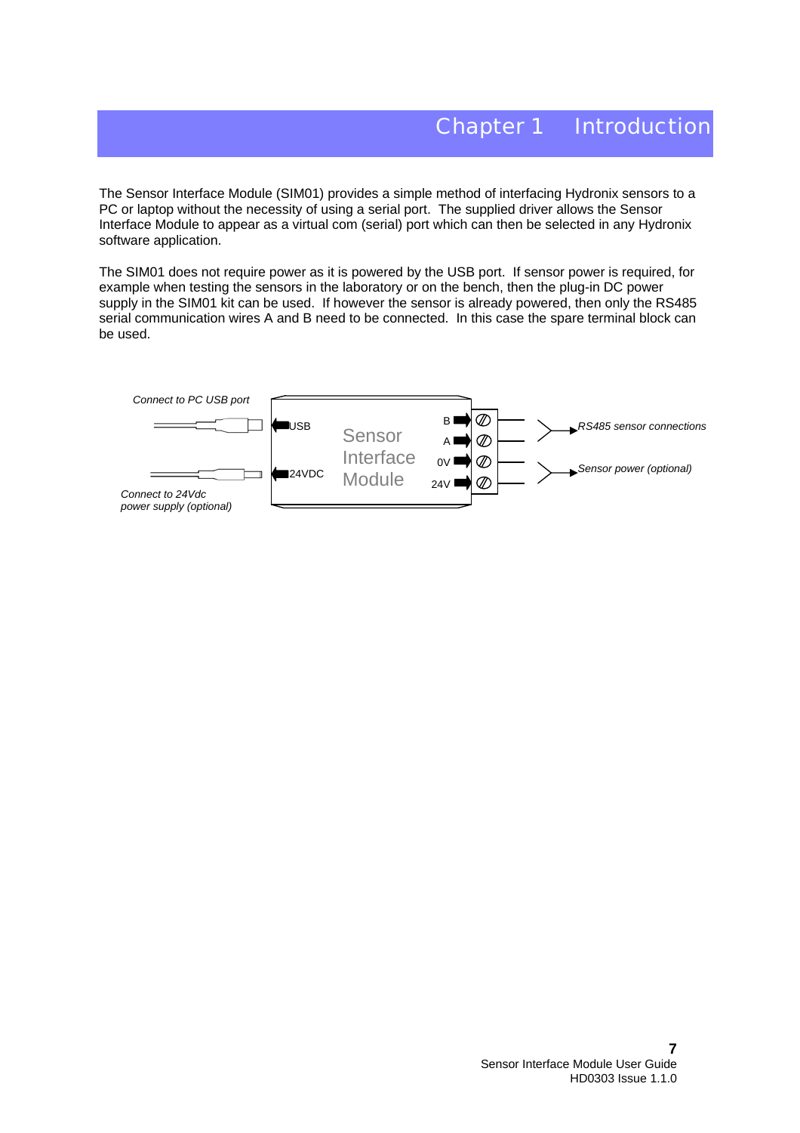The Sensor Interface Module (SIM01) provides a simple method of interfacing Hydronix sensors to a PC or laptop without the necessity of using a serial port. The supplied driver allows the Sensor Interface Module to appear as a virtual com (serial) port which can then be selected in any Hydronix software application.

The SIM01 does not require power as it is powered by the USB port. If sensor power is required, for example when testing the sensors in the laboratory or on the bench, then the plug-in DC power supply in the SIM01 kit can be used. If however the sensor is already powered, then only the RS485 serial communication wires A and B need to be connected. In this case the spare terminal block can be used.

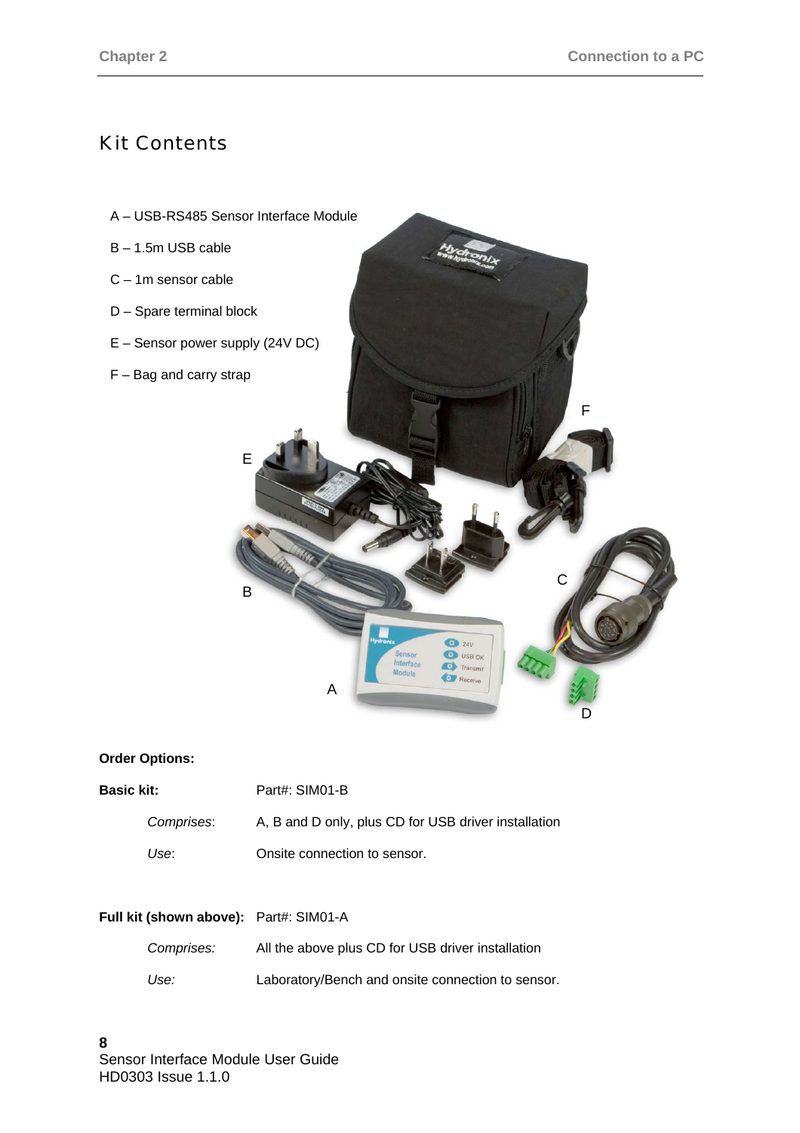## Kit Contents



### **Order Options:**

| <b>Basic kit:</b> |            | Part#: SIM01-B                                       |  |
|-------------------|------------|------------------------------------------------------|--|
|                   | Comprises: | A, B and D only, plus CD for USB driver installation |  |
|                   | Use:       | Onsite connection to sensor.                         |  |

| Full kit (shown above): Part#: SIM01-A |                                                   |
|----------------------------------------|---------------------------------------------------|
| Comprises:                             | All the above plus CD for USB driver installation |
| Use:                                   | Laboratory/Bench and onsite connection to sensor. |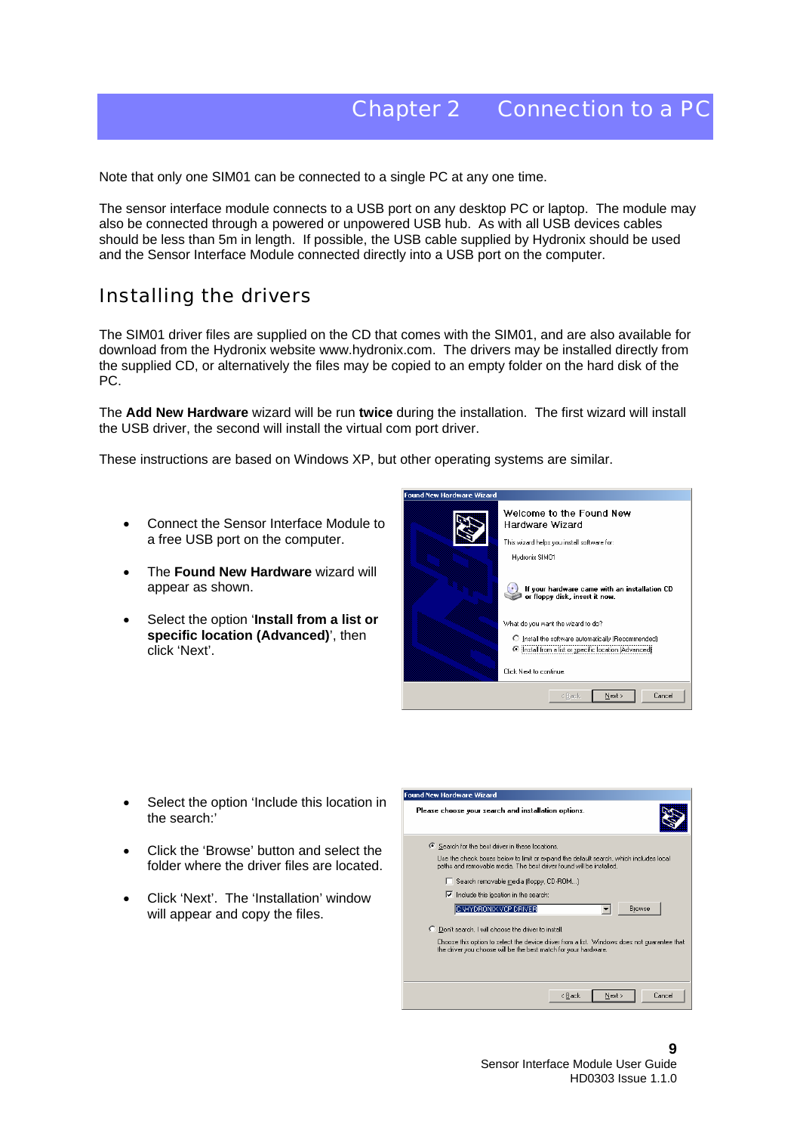Note that only one SIM01 can be connected to a single PC at any one time.

The sensor interface module connects to a USB port on any desktop PC or laptop. The module may also be connected through a powered or unpowered USB hub. As with all USB devices cables should be less than 5m in length. If possible, the USB cable supplied by Hydronix should be used and the Sensor Interface Module connected directly into a USB port on the computer.

### Installing the drivers

The SIM01 driver files are supplied on the CD that comes with the SIM01, and are also available for download from the Hydronix website www.hydronix.com. The drivers may be installed directly from the supplied CD, or alternatively the files may be copied to an empty folder on the hard disk of the PC.

The **Add New Hardware** wizard will be run **twice** during the installation. The first wizard will install the USB driver, the second will install the virtual com port driver.

These instructions are based on Windows XP, but other operating systems are similar.

- Connect the Sensor Interface Module to a free USB port on the computer.
- The **Found New Hardware** wizard will appear as shown.
- Select the option '**Install from a list or specific location (Advanced)**', then click 'Next'.



- Select the option 'Include this location in the search:'
- Click the 'Browse' button and select the folder where the driver files are located.
- Click 'Next'. The 'Installation' window will appear and copy the files.

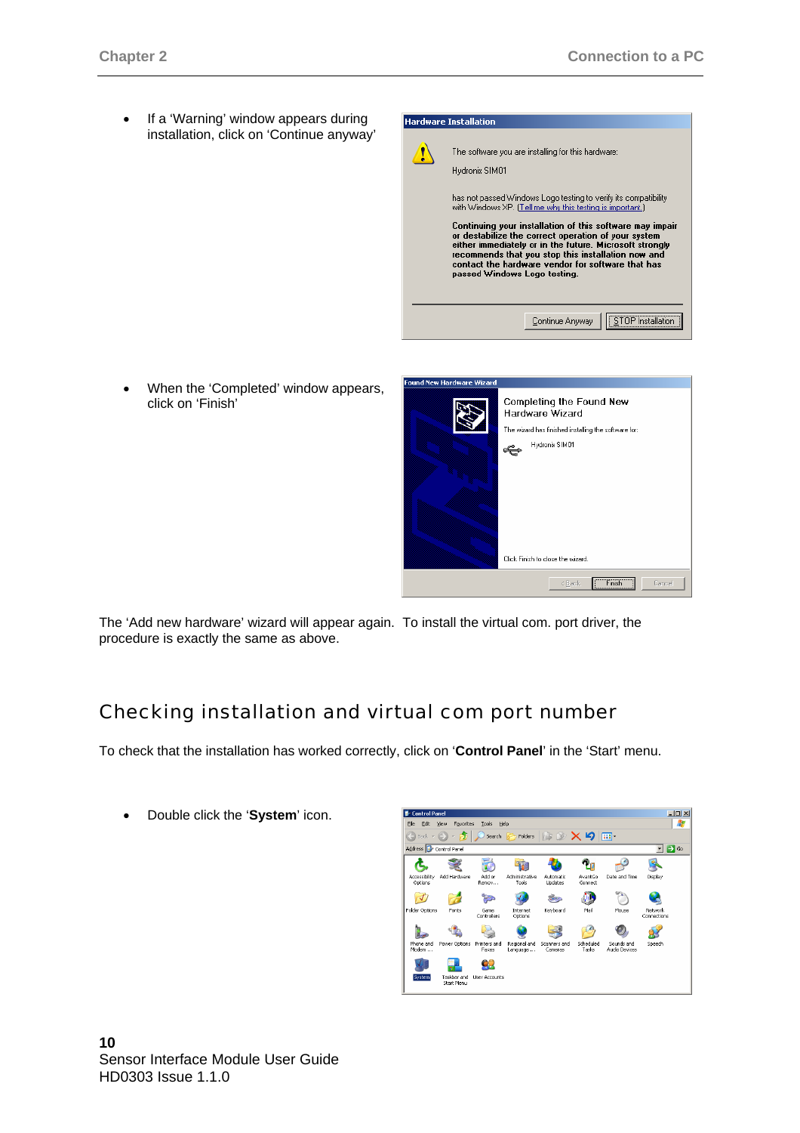If a 'Warning' window appears during installation, click on 'Continue anyway'



• When the 'Completed' window appears, click on 'Finish'



The 'Add new hardware' wizard will appear again. To install the virtual com. port driver, the procedure is exactly the same as above.

## Checking installation and virtual com port number

To check that the installation has worked correctly, click on '**Control Panel**' in the 'Start' menu.

• Double click the '**System**' icon.

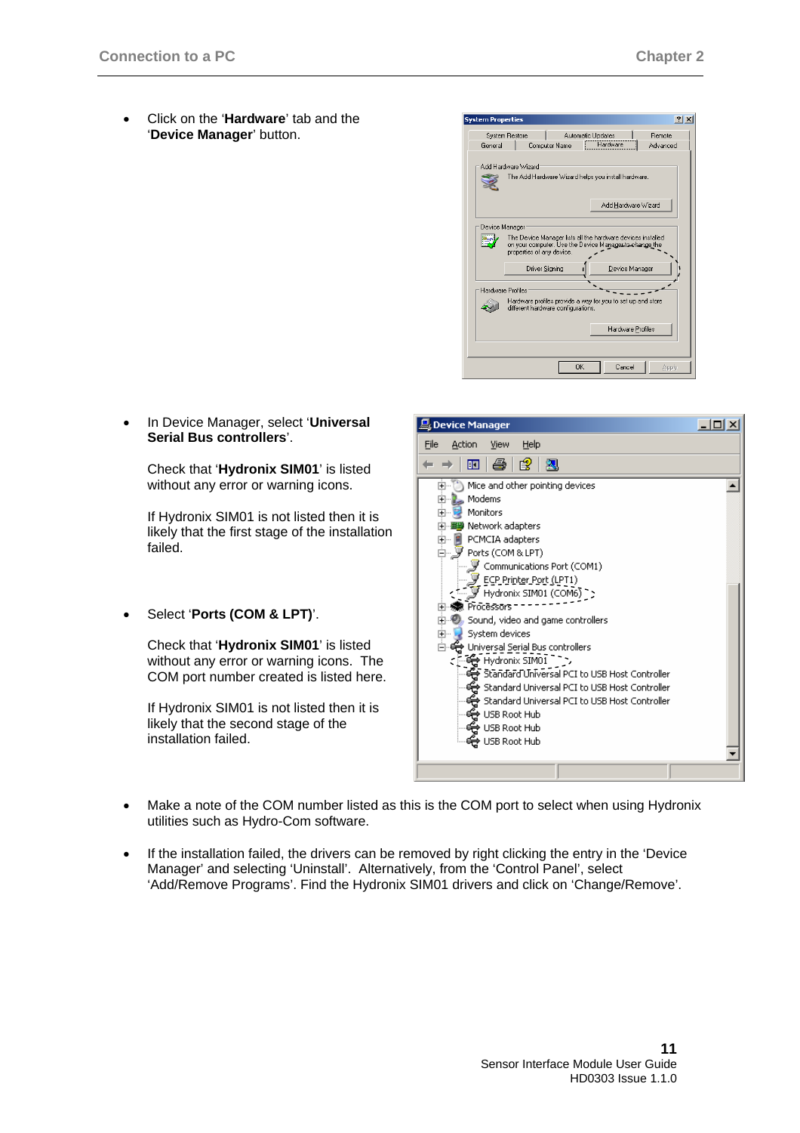• Click on the '**Hardware**' tab and the '**Device Manager**' button.



• In Device Manager, select '**Universal Serial Bus controllers**'.

Check that '**Hydronix SIM01**' is listed without any error or warning icons.

If Hydronix SIM01 is not listed then it is likely that the first stage of the installation failed.

• Select '**Ports (COM & LPT)**'.

Check that '**Hydronix SIM01**' is listed without any error or warning icons. The COM port number created is listed here.

If Hydronix SIM01 is not listed then it is likely that the second stage of the installation failed.



- Make a note of the COM number listed as this is the COM port to select when using Hydronix utilities such as Hydro-Com software.
- If the installation failed, the drivers can be removed by right clicking the entry in the 'Device Manager' and selecting 'Uninstall'. Alternatively, from the 'Control Panel', select 'Add/Remove Programs'. Find the Hydronix SIM01 drivers and click on 'Change/Remove'.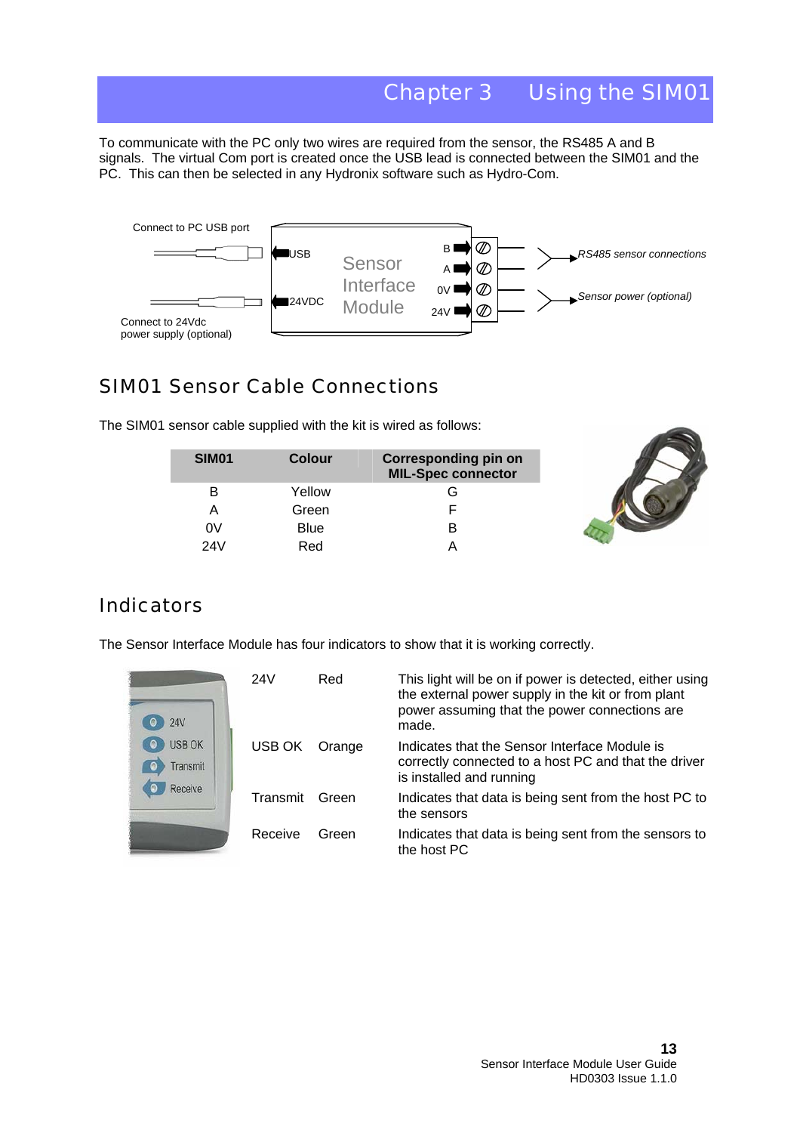## Chapter 3 Using the SIM01

To communicate with the PC only two wires are required from the sensor, the RS485 A and B signals. The virtual Com port is created once the USB lead is connected between the SIM01 and the PC. This can then be selected in any Hydronix software such as Hydro-Com.



## SIM01 Sensor Cable Connections

The SIM01 sensor cable supplied with the kit is wired as follows:

| SIM <sub>01</sub> | Colour | <b>Corresponding pin on</b><br><b>MIL-Spec connector</b> |
|-------------------|--------|----------------------------------------------------------|
| B                 | Yellow | G                                                        |
| А                 | Green  |                                                          |
| 0V                | Blue   | R                                                        |
| 24V               | Red    |                                                          |



## **Indicators**

The Sensor Interface Module has four indicators to show that it is working correctly.

| 24 V                      | 24V      | Red    | This light will be on if power is detected, either using<br>the external power supply in the kit or from plant<br>power assuming that the power connections are<br>made. |
|---------------------------|----------|--------|--------------------------------------------------------------------------------------------------------------------------------------------------------------------------|
| <b>USB OK</b><br>Transmit | USB OK   | Orange | Indicates that the Sensor Interface Module is<br>correctly connected to a host PC and that the driver<br>is installed and running                                        |
| Receive                   | Transmit | Green  | Indicates that data is being sent from the host PC to<br>the sensors                                                                                                     |
|                           | Receive  | Green  | Indicates that data is being sent from the sensors to<br>the host PC                                                                                                     |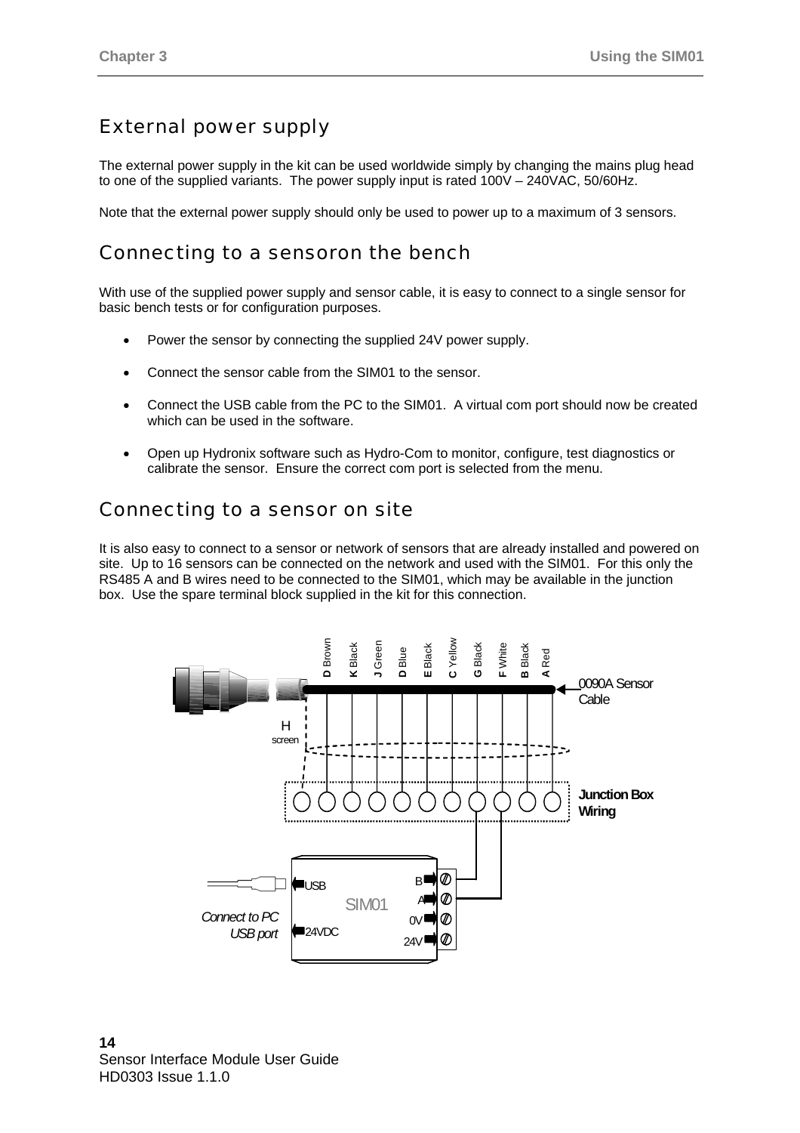## External power supply

The external power supply in the kit can be used worldwide simply by changing the mains plug head to one of the supplied variants. The power supply input is rated 100V – 240VAC, 50/60Hz.

Note that the external power supply should only be used to power up to a maximum of 3 sensors.

## Connecting to a sensoron the bench

With use of the supplied power supply and sensor cable, it is easy to connect to a single sensor for basic bench tests or for configuration purposes.

- Power the sensor by connecting the supplied 24V power supply.
- Connect the sensor cable from the SIM01 to the sensor.
- Connect the USB cable from the PC to the SIM01. A virtual com port should now be created which can be used in the software.
- Open up Hydronix software such as Hydro-Com to monitor, configure, test diagnostics or calibrate the sensor. Ensure the correct com port is selected from the menu.

## Connecting to a sensor on site

It is also easy to connect to a sensor or network of sensors that are already installed and powered on site. Up to 16 sensors can be connected on the network and used with the SIM01. For this only the RS485 A and B wires need to be connected to the SIM01, which may be available in the junction box. Use the spare terminal block supplied in the kit for this connection.

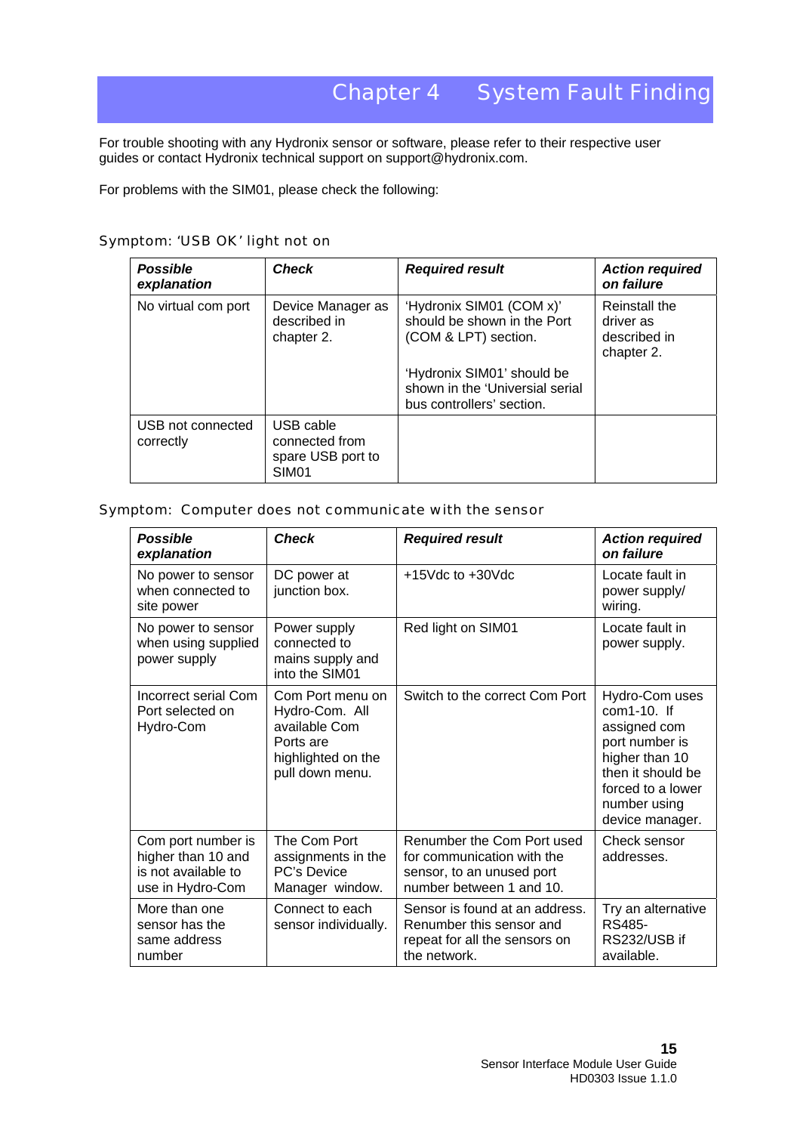## Chapter 4 System Fault Finding

For trouble shooting with any Hydronix sensor or software, please refer to their respective user guides or contact Hydronix technical support on support@hydronix.com.

For problems with the SIM01, please check the following:

| Symptom: 'USB OK' light not on |  |  |  |
|--------------------------------|--|--|--|
|                                |  |  |  |

| <b>Possible</b><br>explanation | <b>Check</b>                                                          | <b>Required result</b>                                                                     | <b>Action required</b><br>on failure                     |
|--------------------------------|-----------------------------------------------------------------------|--------------------------------------------------------------------------------------------|----------------------------------------------------------|
| No virtual com port            | Device Manager as<br>described in<br>chapter 2.                       | 'Hydronix SIM01 (COM x)'<br>should be shown in the Port<br>(COM & LPT) section.            | Reinstall the<br>driver as<br>described in<br>chapter 2. |
|                                |                                                                       | 'Hydronix SIM01' should be<br>shown in the 'Universial serial<br>bus controllers' section. |                                                          |
| USB not connected<br>correctly | USB cable<br>connected from<br>spare USB port to<br>SIM <sub>01</sub> |                                                                                            |                                                          |

### Symptom: Computer does not communicate with the sensor

| <b>Possible</b><br>explanation                                                      | <b>Check</b>                                                                                              | <b>Required result</b>                                                                                            | <b>Action required</b><br>on failure                                                                                                                              |
|-------------------------------------------------------------------------------------|-----------------------------------------------------------------------------------------------------------|-------------------------------------------------------------------------------------------------------------------|-------------------------------------------------------------------------------------------------------------------------------------------------------------------|
| No power to sensor<br>when connected to<br>site power                               | DC power at<br>junction box.                                                                              | $+15$ Vdc to $+30$ Vdc                                                                                            | Locate fault in<br>power supply/<br>wiring.                                                                                                                       |
| No power to sensor<br>when using supplied<br>power supply                           | Power supply<br>connected to<br>mains supply and<br>into the SIM01                                        | Red light on SIM01                                                                                                | Locate fault in<br>power supply.                                                                                                                                  |
| Incorrect serial Com<br>Port selected on<br>Hydro-Com                               | Com Port menu on<br>Hydro-Com. All<br>available Com<br>Ports are<br>highlighted on the<br>pull down menu. | Switch to the correct Com Port                                                                                    | Hydro-Com uses<br>$com1-10$ . If<br>assigned com<br>port number is<br>higher than 10<br>then it should be<br>forced to a lower<br>number using<br>device manager. |
| Com port number is<br>higher than 10 and<br>is not available to<br>use in Hydro-Com | The Com Port<br>assignments in the<br><b>PC's Device</b><br>Manager window.                               | Renumber the Com Port used<br>for communication with the<br>sensor, to an unused port<br>number between 1 and 10. | Check sensor<br>addresses.                                                                                                                                        |
| More than one<br>sensor has the<br>same address<br>number                           | Connect to each<br>sensor individually.                                                                   | Sensor is found at an address.<br>Renumber this sensor and<br>repeat for all the sensors on<br>the network.       | Try an alternative<br>RS485-<br>RS232/USB if<br>available.                                                                                                        |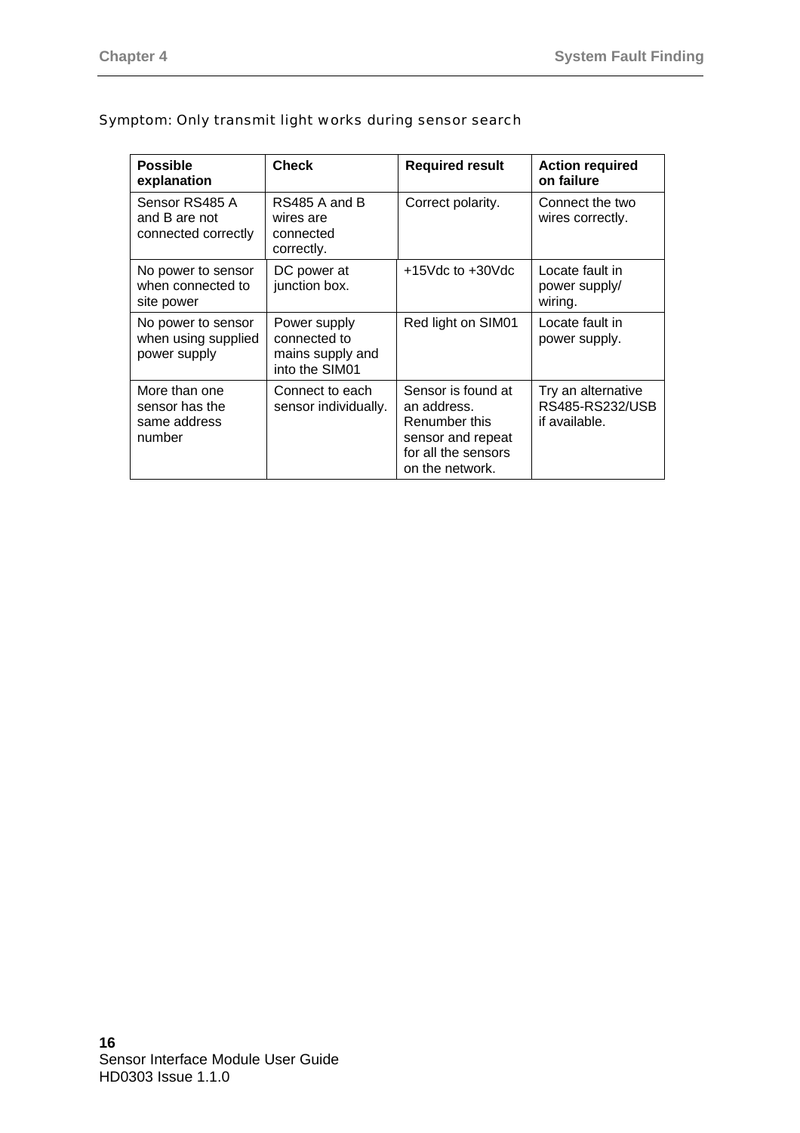| <b>Possible</b><br>explanation                            | <b>Check</b>                                                       | <b>Required result</b>                                                                                            | <b>Action required</b><br>on failure                   |
|-----------------------------------------------------------|--------------------------------------------------------------------|-------------------------------------------------------------------------------------------------------------------|--------------------------------------------------------|
| Sensor RS485 A<br>and B are not<br>connected correctly    | RS485 A and B<br>wires are<br>connected<br>correctly.              | Correct polarity.                                                                                                 | Connect the two<br>wires correctly.                    |
| No power to sensor<br>when connected to<br>site power     | DC power at<br>junction box.                                       | $+15$ Vdc to $+30$ Vdc                                                                                            | Locate fault in<br>power supply/<br>wiring.            |
| No power to sensor<br>when using supplied<br>power supply | Power supply<br>connected to<br>mains supply and<br>into the SIM01 | Red light on SIM01                                                                                                | Locate fault in<br>power supply.                       |
| More than one<br>sensor has the<br>same address<br>number | Connect to each<br>sensor individually.                            | Sensor is found at<br>an address.<br>Renumber this<br>sensor and repeat<br>for all the sensors<br>on the network. | Try an alternative<br>RS485-RS232/USB<br>if available. |

### Symptom: Only transmit light works during sensor search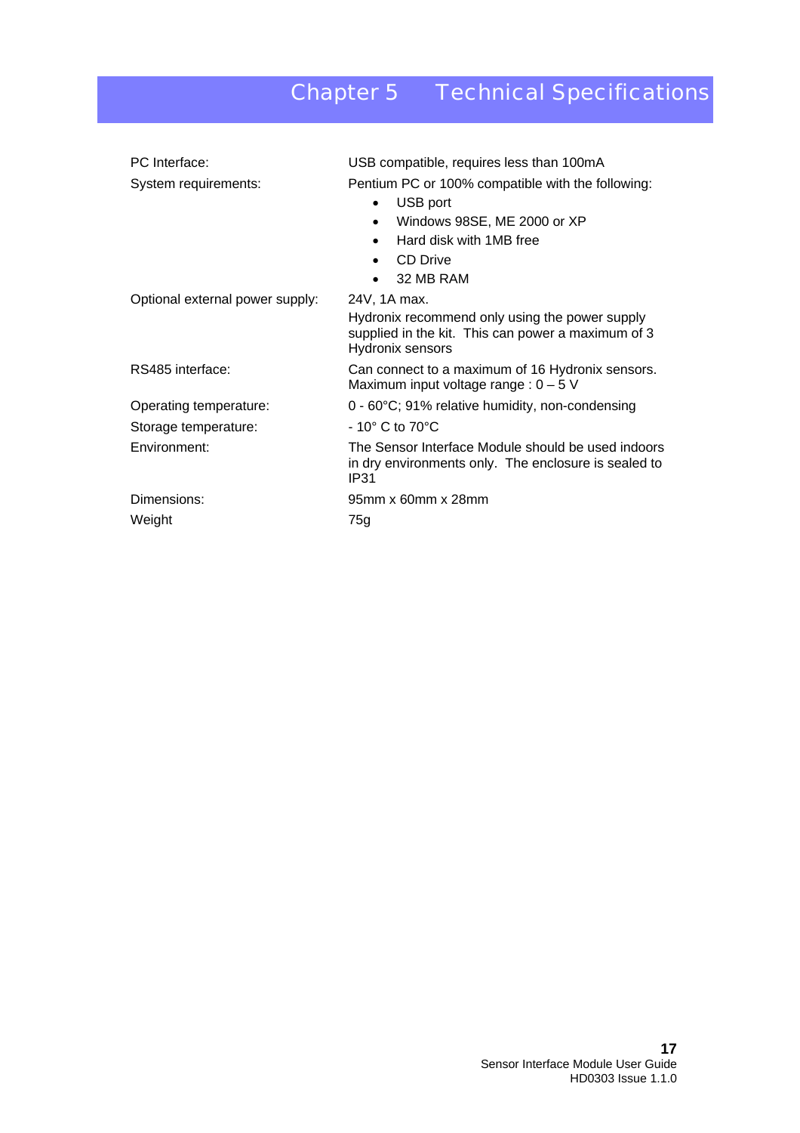# Chapter 5 Technical Specifications

| PC Interface:<br>System requirements: | USB compatible, requires less than 100mA<br>Pentium PC or 100% compatible with the following:<br>USB port<br>$\bullet$<br>Windows 98SE, ME 2000 or XP<br>$\bullet$<br>Hard disk with 1MB free<br>CD Drive<br>32 MB RAM |  |  |
|---------------------------------------|------------------------------------------------------------------------------------------------------------------------------------------------------------------------------------------------------------------------|--|--|
| Optional external power supply:       | 24V, 1A max.<br>Hydronix recommend only using the power supply<br>supplied in the kit. This can power a maximum of 3<br>Hydronix sensors                                                                               |  |  |
| RS485 interface:                      | Can connect to a maximum of 16 Hydronix sensors.<br>Maximum input voltage range : $0 - 5$ V                                                                                                                            |  |  |
| Operating temperature:                | 0 - 60°C; 91% relative humidity, non-condensing                                                                                                                                                                        |  |  |
| Storage temperature:                  | $-10^{\circ}$ C to 70 $^{\circ}$ C                                                                                                                                                                                     |  |  |
| Environment:                          | The Sensor Interface Module should be used indoors<br>in dry environments only. The enclosure is sealed to<br><b>IP31</b>                                                                                              |  |  |
| Dimensions:                           | 95mm x 60mm x 28mm                                                                                                                                                                                                     |  |  |
| Weight                                | 75g                                                                                                                                                                                                                    |  |  |